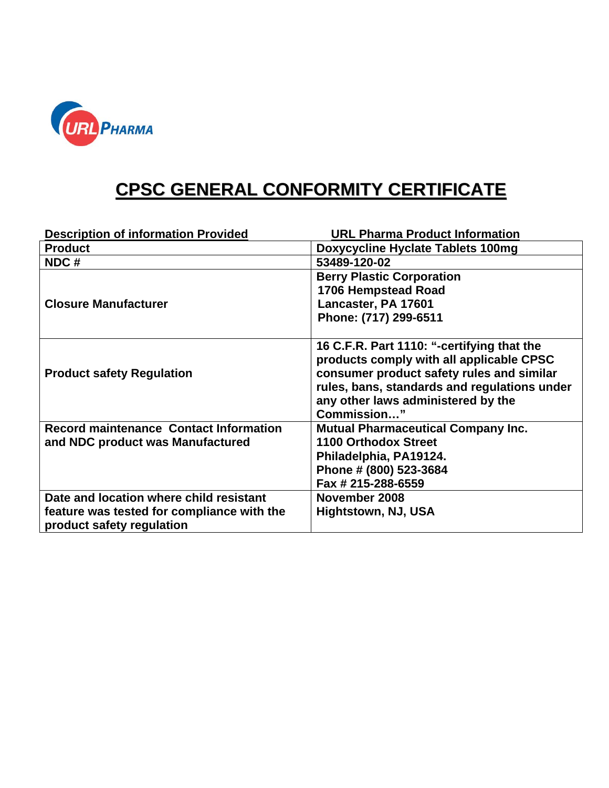

## **CPSC GENERAL CONFORMITY CERTIFICATE**

| <b>Description of information Provided</b>    | <b>URL Pharma Product Information</b>        |
|-----------------------------------------------|----------------------------------------------|
| <b>Product</b>                                | <b>Doxycycline Hyclate Tablets 100mg</b>     |
| NDC#                                          | 53489-120-02                                 |
|                                               | <b>Berry Plastic Corporation</b>             |
|                                               | 1706 Hempstead Road                          |
| <b>Closure Manufacturer</b>                   | Lancaster, PA 17601                          |
|                                               | Phone: (717) 299-6511                        |
|                                               |                                              |
|                                               | 16 C.F.R. Part 1110: "-certifying that the   |
|                                               | products comply with all applicable CPSC     |
| <b>Product safety Regulation</b>              | consumer product safety rules and similar    |
|                                               | rules, bans, standards and regulations under |
|                                               | any other laws administered by the           |
|                                               | Commission"                                  |
| <b>Record maintenance Contact Information</b> | <b>Mutual Pharmaceutical Company Inc.</b>    |
| and NDC product was Manufactured              | <b>1100 Orthodox Street</b>                  |
|                                               | Philadelphia, PA19124.                       |
|                                               | Phone # (800) 523-3684                       |
|                                               | Fax # 215-288-6559                           |
| Date and location where child resistant       | November 2008                                |
| feature was tested for compliance with the    | Hightstown, NJ, USA                          |
| product safety regulation                     |                                              |